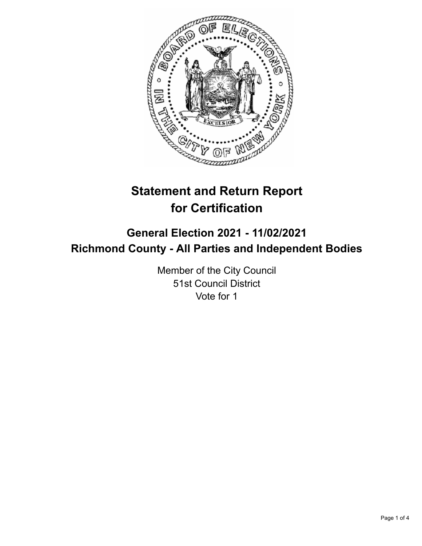

# **Statement and Return Report for Certification**

## **General Election 2021 - 11/02/2021 Richmond County - All Parties and Independent Bodies**

Member of the City Council 51st Council District Vote for 1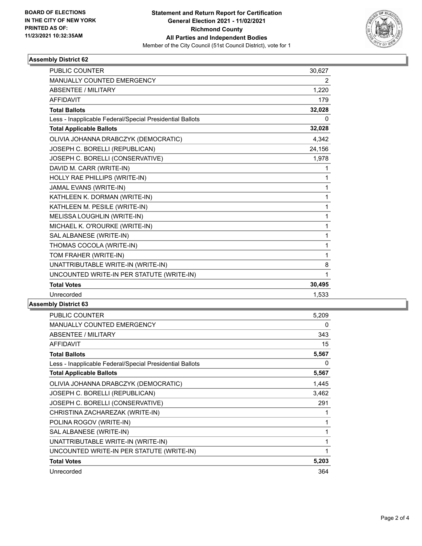

## **Assembly District 62**

| <b>PUBLIC COUNTER</b>                                    | 30,627                |
|----------------------------------------------------------|-----------------------|
| MANUALLY COUNTED EMERGENCY                               | $\mathbf{2}^{\prime}$ |
| ABSENTEE / MILITARY                                      | 1,220                 |
| <b>AFFIDAVIT</b>                                         | 179                   |
| <b>Total Ballots</b>                                     | 32,028                |
| Less - Inapplicable Federal/Special Presidential Ballots | 0                     |
| <b>Total Applicable Ballots</b>                          | 32,028                |
| OLIVIA JOHANNA DRABCZYK (DEMOCRATIC)                     | 4,342                 |
| JOSEPH C. BORELLI (REPUBLICAN)                           | 24,156                |
| JOSEPH C. BORELLI (CONSERVATIVE)                         | 1,978                 |
| DAVID M. CARR (WRITE-IN)                                 | 1                     |
| HOLLY RAE PHILLIPS (WRITE-IN)                            | 1                     |
| JAMAL EVANS (WRITE-IN)                                   | 1                     |
| KATHLEEN K. DORMAN (WRITE-IN)                            | 1                     |
| KATHLEEN M. PESILE (WRITE-IN)                            | $\mathbf{1}$          |
| MELISSA LOUGHLIN (WRITE-IN)                              | 1                     |
| MICHAEL K. O'ROURKE (WRITE-IN)                           | $\mathbf{1}$          |
| SAL ALBANESE (WRITE-IN)                                  | 1                     |
| THOMAS COCOLA (WRITE-IN)                                 | 1                     |
| TOM FRAHER (WRITE-IN)                                    | 1                     |
| UNATTRIBUTABLE WRITE-IN (WRITE-IN)                       | 8                     |
| UNCOUNTED WRITE-IN PER STATUTE (WRITE-IN)                | 1                     |
| <b>Total Votes</b>                                       | 30,495                |
| Unrecorded                                               | 1,533                 |

## **Assembly District 63**

| PUBLIC COUNTER                                           | 5,209 |
|----------------------------------------------------------|-------|
| <b>MANUALLY COUNTED EMERGENCY</b>                        | 0     |
| ABSENTEE / MILITARY                                      | 343   |
| <b>AFFIDAVIT</b>                                         | 15    |
| <b>Total Ballots</b>                                     | 5,567 |
| Less - Inapplicable Federal/Special Presidential Ballots | 0     |
| <b>Total Applicable Ballots</b>                          | 5,567 |
| OLIVIA JOHANNA DRABCZYK (DEMOCRATIC)                     | 1,445 |
| JOSEPH C. BORELLI (REPUBLICAN)                           | 3,462 |
| JOSEPH C. BORELLI (CONSERVATIVE)                         | 291   |
| CHRISTINA ZACHAREZAK (WRITE-IN)                          | 1     |
| POLINA ROGOV (WRITE-IN)                                  | 1     |
| SAL ALBANESE (WRITE-IN)                                  | 1     |
| UNATTRIBUTABLE WRITE-IN (WRITE-IN)                       | 1     |
| UNCOUNTED WRITE-IN PER STATUTE (WRITE-IN)                | 1     |
| <b>Total Votes</b>                                       | 5,203 |
| Unrecorded                                               | 364   |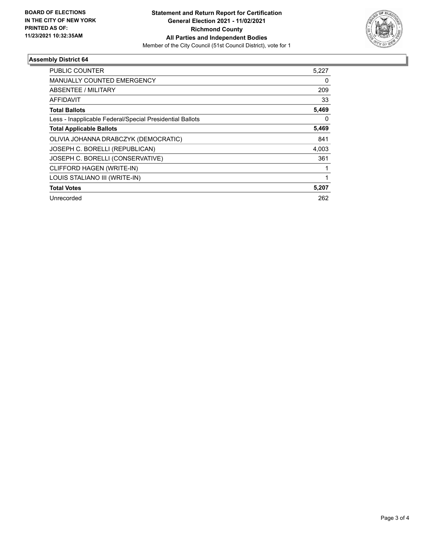

## **Assembly District 64**

| 5,227 |
|-------|
| 0     |
| 209   |
| 33    |
| 5,469 |
| 0     |
| 5,469 |
| 841   |
| 4,003 |
| 361   |
|       |
|       |
| 5,207 |
| 262   |
|       |